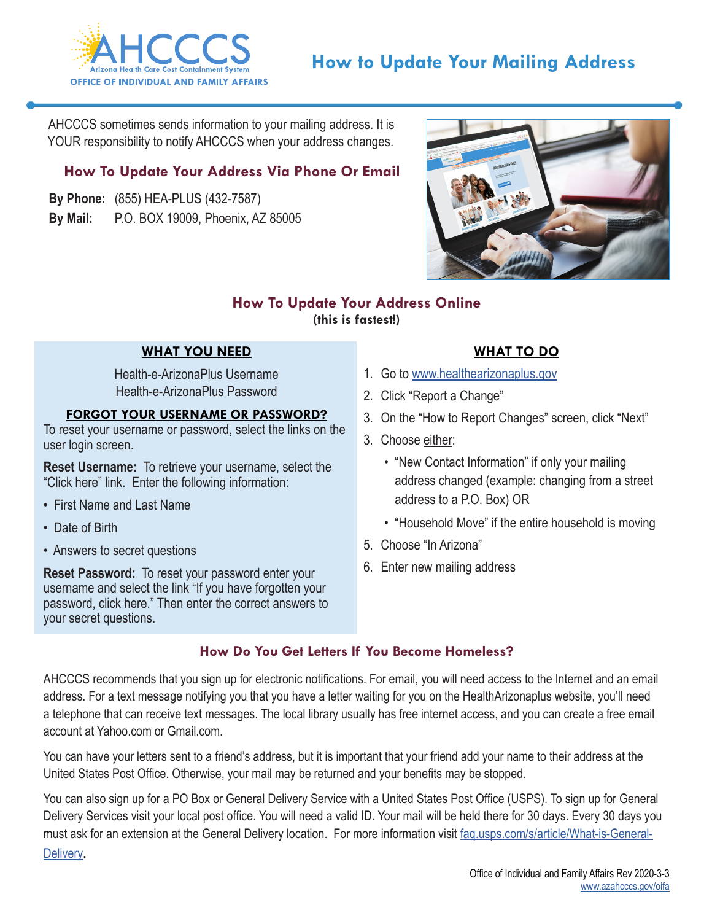

AHCCCS sometimes sends information to your mailing address. It is YOUR responsibility to notify AHCCCS when your address changes.

## **How To Update Your Address Via Phone Or Email**

**By Phone:** (855) HEA-PLUS (432-7587) **By Mail:** P.O. BOX 19009, Phoenix, AZ 85005



### **How To Update Your Address Online (this is fastest!)**

## **WHAT YOU NEED**

Health-e-ArizonaPlus Username Health-e-ArizonaPlus Password

#### **FORGOT YOUR USERNAME OR PASSWORD?**

To reset your username or password, select the links on the user login screen.

**Reset Username:** To retrieve your username, select the "Click here" link. Enter the following information:

- First Name and Last Name
- Date of Birth
- Answers to secret questions

**Reset Password:** To reset your password enter your username and select the link "If you have forgotten your password, click here." Then enter the correct answers to your secret questions.

## **WHAT TO DO**

- 1. Go to [www.healthearizonaplus.gov](http://www.healthearizonaplus.gov)
- 2. Click "Report a Change"
- 3. On the "How to Report Changes" screen, click "Next"
- 3. Choose either:
	- "New Contact Information" if only your mailing address changed (example: changing from a street address to a P.O. Box) OR
	- "Household Move" if the entire household is moving
- 5. Choose "In Arizona"
- 6. Enter new mailing address

### **How Do You Get Letters If You Become Homeless?**

AHCCCS recommends that you sign up for electronic notifications. For email, you will need access to the Internet and an email address. For a text message notifying you that you have a letter waiting for you on the HealthArizonaplus website, you'll need a telephone that can receive text messages. The local library usually has free internet access, and you can create a free email account at Yahoo.com or Gmail.com.

You can have your letters sent to a friend's address, but it is important that your friend add your name to their address at the United States Post Office. Otherwise, your mail may be returned and your benefits may be stopped.

You can also sign up for a PO Box or General Delivery Service with a United States Post Office (USPS). To sign up for General Delivery Services visit your local post office. You will need a valid ID. Your mail will be held there for 30 days. Every 30 days you must ask for an extension at the General Delivery location. For more information visit [faq.usps.com/s/article/What-is-General-](https://extranet.azdes.gov/faapolicymanual/FAA2/baggage/GeneralDeliveryForm.pdf)[Delivery](https://extranet.azdes.gov/faapolicymanual/FAA2/baggage/GeneralDeliveryForm.pdf).